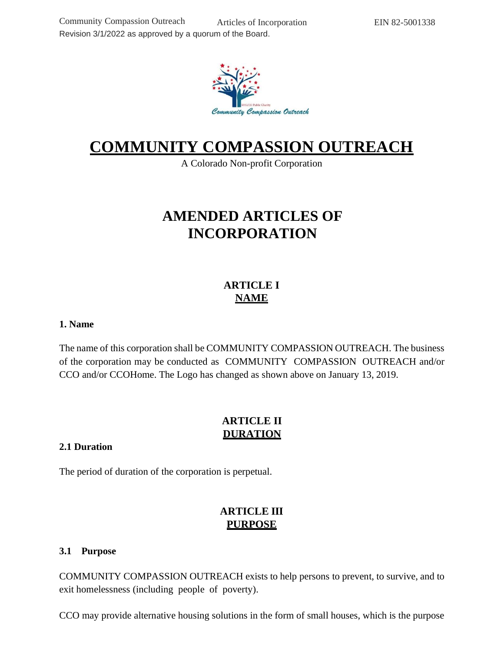

# **COMMUNITY COMPASSION OUTREACH**

A Colorado Non-profit Corporation

# **AMENDED ARTICLES OF INCORPORATION**

# **ARTICLE I NAME**

#### **1. Name**

The name of this corporation shall be COMMUNITY COMPASSION OUTREACH. The business of the corporation may be conducted as COMMUNITY COMPASSION OUTREACH and/or CCO and/or CCOHome. The Logo has changed as shown above on January 13, 2019.

# **ARTICLE II DURATION**

#### **2.1 Duration**

The period of duration of the corporation is perpetual.

## **ARTICLE III PURPOSE**

#### **3.1 Purpose**

COMMUNITY COMPASSION OUTREACH exists to help persons to prevent, to survive, and to exit homelessness (including people of poverty).

CCO may provide alternative housing solutions in the form of small houses, which is the purpose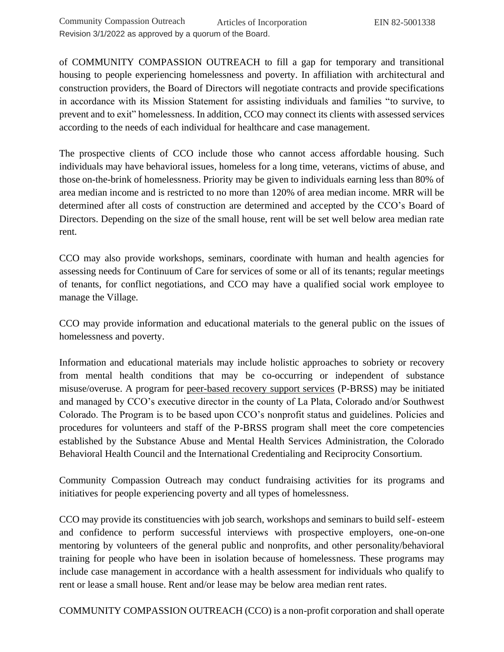of COMMUNITY COMPASSION OUTREACH to fill a gap for temporary and transitional housing to people experiencing homelessness and poverty. In affiliation with architectural and construction providers, the Board of Directors will negotiate contracts and provide specifications in accordance with its Mission Statement for assisting individuals and families "to survive, to prevent and to exit" homelessness. In addition, CCO may connect its clients with assessed services according to the needs of each individual for healthcare and case management.

The prospective clients of CCO include those who cannot access affordable housing. Such individuals may have behavioral issues, homeless for a long time, veterans, victims of abuse, and those on-the-brink of homelessness. Priority may be given to individuals earning less than 80% of area median income and is restricted to no more than 120% of area median income. MRR will be determined after all costs of construction are determined and accepted by the CCO's Board of Directors. Depending on the size of the small house, rent will be set well below area median rate rent.

CCO may also provide workshops, seminars, coordinate with human and health agencies for assessing needs for Continuum of Care for services of some or all of its tenants; regular meetings of tenants, for conflict negotiations, and CCO may have a qualified social work employee to manage the Village.

CCO may provide information and educational materials to the general public on the issues of homelessness and poverty.

Information and educational materials may include holistic approaches to sobriety or recovery from mental health conditions that may be co-occurring or independent of substance misuse/overuse. A program for peer-based recovery support services (P-BRSS) may be initiated and managed by CCO's executive director in the county of La Plata, Colorado and/or Southwest Colorado. The Program is to be based upon CCO's nonprofit status and guidelines. Policies and procedures for volunteers and staff of the P-BRSS program shall meet the core competencies established by the Substance Abuse and Mental Health Services Administration, the Colorado Behavioral Health Council and the International Credentialing and Reciprocity Consortium.

Community Compassion Outreach may conduct fundraising activities for its programs and initiatives for people experiencing poverty and all types of homelessness.

CCO may provide its constituencies with job search, workshops and seminars to build self- esteem and confidence to perform successful interviews with prospective employers, one-on-one mentoring by volunteers of the general public and nonprofits, and other personality/behavioral training for people who have been in isolation because of homelessness. These programs may include case management in accordance with a health assessment for individuals who qualify to rent or lease a small house. Rent and/or lease may be below area median rent rates.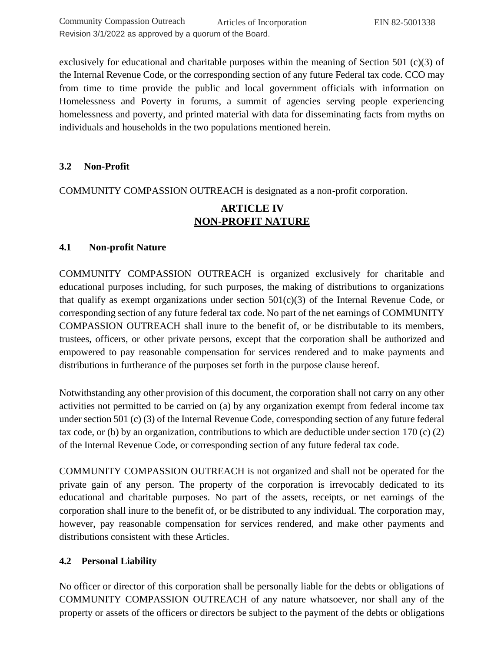exclusively for educational and charitable purposes within the meaning of Section 501 (c)(3) of the Internal Revenue Code, or the corresponding section of any future Federal tax code. CCO may from time to time provide the public and local government officials with information on Homelessness and Poverty in forums, a summit of agencies serving people experiencing homelessness and poverty, and printed material with data for disseminating facts from myths on individuals and households in the two populations mentioned herein.

## **3.2 Non-Profit**

COMMUNITY COMPASSION OUTREACH is designated as a non-profit corporation.

## **ARTICLE IV NON-PROFIT NATURE**

#### **4.1 Non-profit Nature**

COMMUNITY COMPASSION OUTREACH is organized exclusively for charitable and educational purposes including, for such purposes, the making of distributions to organizations that qualify as exempt organizations under section  $501(c)(3)$  of the Internal Revenue Code, or corresponding section of any future federal tax code. No part of the net earnings of COMMUNITY COMPASSION OUTREACH shall inure to the benefit of, or be distributable to its members, trustees, officers, or other private persons, except that the corporation shall be authorized and empowered to pay reasonable compensation for services rendered and to make payments and distributions in furtherance of the purposes set forth in the purpose clause hereof.

Notwithstanding any other provision of this document, the corporation shall not carry on any other activities not permitted to be carried on (a) by any organization exempt from federal income tax under section 501 (c) (3) of the Internal Revenue Code, corresponding section of any future federal tax code, or (b) by an organization, contributions to which are deductible under section 170 (c) (2) of the Internal Revenue Code, or corresponding section of any future federal tax code.

COMMUNITY COMPASSION OUTREACH is not organized and shall not be operated for the private gain of any person. The property of the corporation is irrevocably dedicated to its educational and charitable purposes. No part of the assets, receipts, or net earnings of the corporation shall inure to the benefit of, or be distributed to any individual. The corporation may, however, pay reasonable compensation for services rendered, and make other payments and distributions consistent with these Articles.

#### **4.2 Personal Liability**

No officer or director of this corporation shall be personally liable for the debts or obligations of COMMUNITY COMPASSION OUTREACH of any nature whatsoever, nor shall any of the property or assets of the officers or directors be subject to the payment of the debts or obligations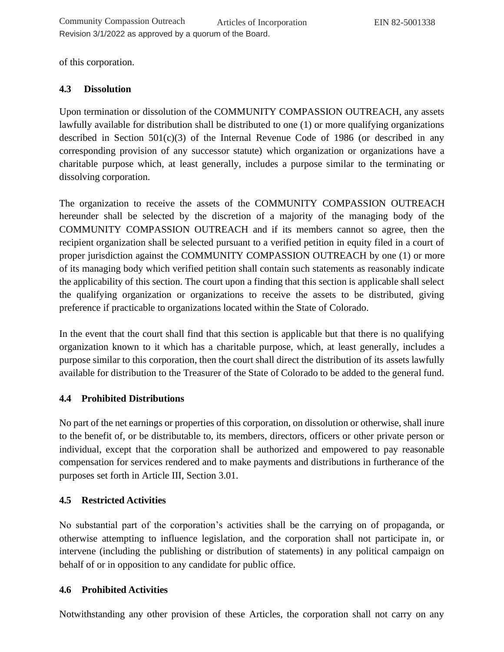of this corporation.

#### **4.3 Dissolution**

Upon termination or dissolution of the COMMUNITY COMPASSION OUTREACH, any assets lawfully available for distribution shall be distributed to one (1) or more qualifying organizations described in Section  $501(c)(3)$  of the Internal Revenue Code of 1986 (or described in any corresponding provision of any successor statute) which organization or organizations have a charitable purpose which, at least generally, includes a purpose similar to the terminating or dissolving corporation.

The organization to receive the assets of the COMMUNITY COMPASSION OUTREACH hereunder shall be selected by the discretion of a majority of the managing body of the COMMUNITY COMPASSION OUTREACH and if its members cannot so agree, then the recipient organization shall be selected pursuant to a verified petition in equity filed in a court of proper jurisdiction against the COMMUNITY COMPASSION OUTREACH by one (1) or more of its managing body which verified petition shall contain such statements as reasonably indicate the applicability of this section. The court upon a finding that this section is applicable shall select the qualifying organization or organizations to receive the assets to be distributed, giving preference if practicable to organizations located within the State of Colorado.

In the event that the court shall find that this section is applicable but that there is no qualifying organization known to it which has a charitable purpose, which, at least generally, includes a purpose similar to this corporation, then the court shall direct the distribution of its assets lawfully available for distribution to the Treasurer of the State of Colorado to be added to the general fund.

#### **4.4 Prohibited Distributions**

No part of the net earnings or properties of this corporation, on dissolution or otherwise, shall inure to the benefit of, or be distributable to, its members, directors, officers or other private person or individual, except that the corporation shall be authorized and empowered to pay reasonable compensation for services rendered and to make payments and distributions in furtherance of the purposes set forth in Article III, Section 3.01.

#### **4.5 Restricted Activities**

No substantial part of the corporation's activities shall be the carrying on of propaganda, or otherwise attempting to influence legislation, and the corporation shall not participate in, or intervene (including the publishing or distribution of statements) in any political campaign on behalf of or in opposition to any candidate for public office.

#### **4.6 Prohibited Activities**

Notwithstanding any other provision of these Articles, the corporation shall not carry on any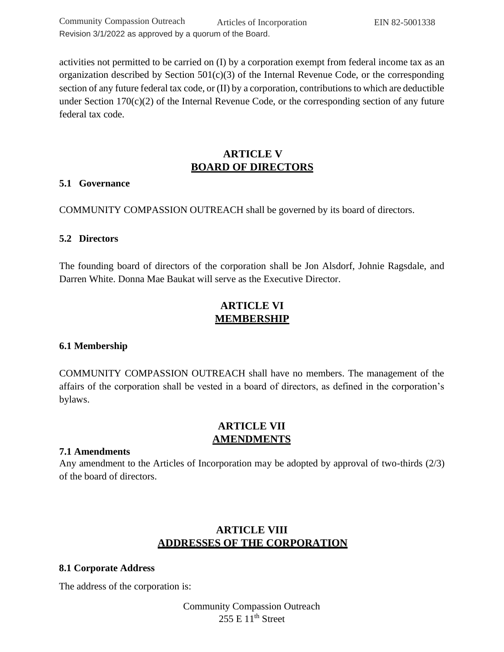activities not permitted to be carried on (I) by a corporation exempt from federal income tax as an organization described by Section  $501(c)(3)$  of the Internal Revenue Code, or the corresponding section of any future federal tax code, or (II) by a corporation, contributions to which are deductible under Section 170(c)(2) of the Internal Revenue Code, or the corresponding section of any future federal tax code.

# **ARTICLE V BOARD OF DIRECTORS**

#### **5.1 Governance**

COMMUNITY COMPASSION OUTREACH shall be governed by its board of directors.

## **5.2 Directors**

The founding board of directors of the corporation shall be Jon Alsdorf, Johnie Ragsdale, and Darren White. Donna Mae Baukat will serve as the Executive Director.

# **ARTICLE VI MEMBERSHIP**

#### **6.1 Membership**

COMMUNITY COMPASSION OUTREACH shall have no members. The management of the affairs of the corporation shall be vested in a board of directors, as defined in the corporation's bylaws.

## **ARTICLE VII AMENDMENTS**

#### **7.1 Amendments**

Any amendment to the Articles of Incorporation may be adopted by approval of two-thirds (2/3) of the board of directors.

# **ARTICLE VIII ADDRESSES OF THE CORPORATION**

## **8.1 Corporate Address**

The address of the corporation is:

Community Compassion Outreach 255 E  $11<sup>th</sup>$  Street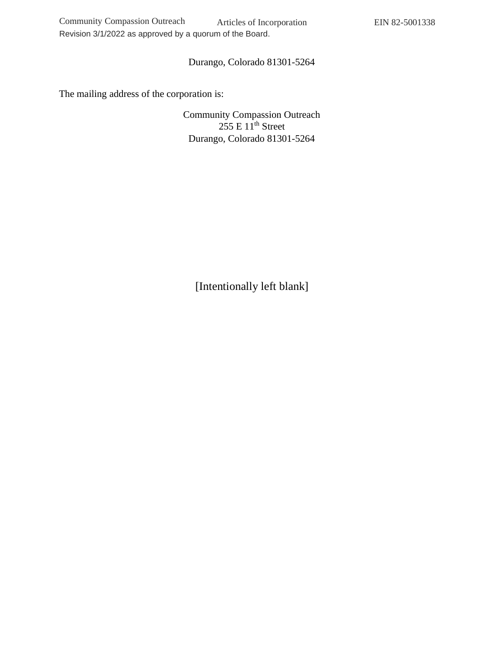Community Compassion Outreach Articles of Incorporation EIN 82-5001338 Revision 3/1/2022 as approved by a quorum of the Board.

### Durango, Colorado 81301-5264

The mailing address of the corporation is:

Community Compassion Outreach  $255 \text{ E } 11^{\text{th}}$  Street Durango, Colorado 81301-5264

[Intentionally left blank]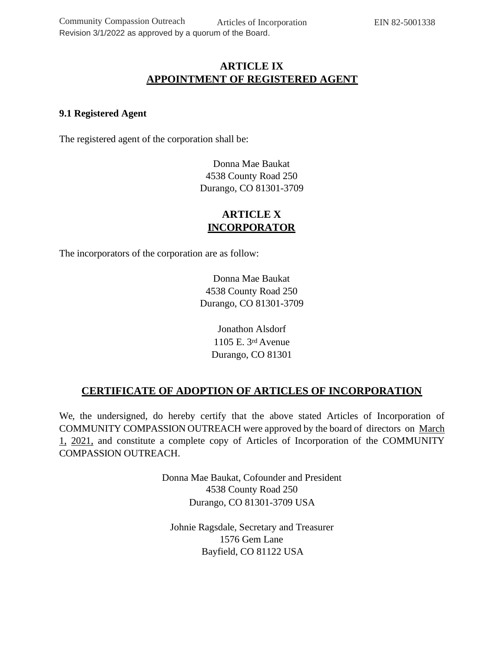## **ARTICLE IX APPOINTMENT OF REGISTERED AGENT**

#### **9.1 Registered Agent**

The registered agent of the corporation shall be:

Donna Mae Baukat 4538 County Road 250 Durango, CO 81301-3709

## **ARTICLE X INCORPORATOR**

The incorporators of the corporation are as follow:

Donna Mae Baukat 4538 County Road 250 Durango, CO 81301-3709

Jonathon Alsdorf 1105 E. 3rd Avenue Durango, CO 81301

#### **CERTIFICATE OF ADOPTION OF ARTICLES OF INCORPORATION**

We, the undersigned, do hereby certify that the above stated Articles of Incorporation of COMMUNITY COMPASSION OUTREACH were approved by the board of directors on March 1, 2021, and constitute a complete copy of Articles of Incorporation of the COMMUNITY COMPASSION OUTREACH.

> Donna Mae Baukat, Cofounder and President 4538 County Road 250 Durango, CO 81301-3709 USA

Johnie Ragsdale, Secretary and Treasurer 1576 Gem Lane Bayfield, CO 81122 USA